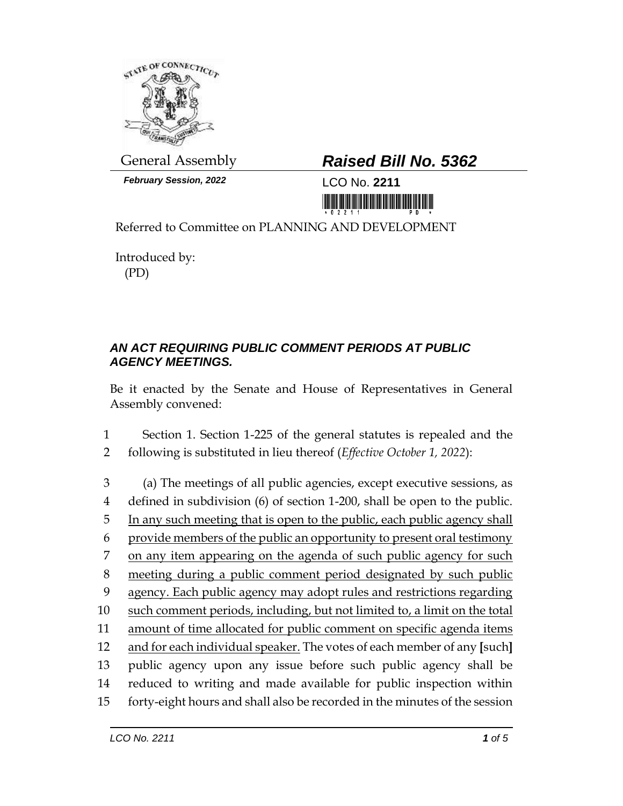

*February Session, 2022* LCO No. **2211**

## General Assembly *Raised Bill No. 5362*

<u> III dheka ka maanaa ka maalaa ka maalaa ka m</u>

Referred to Committee on PLANNING AND DEVELOPMENT

Introduced by: (PD)

## *AN ACT REQUIRING PUBLIC COMMENT PERIODS AT PUBLIC AGENCY MEETINGS.*

Be it enacted by the Senate and House of Representatives in General Assembly convened:

1 Section 1. Section 1-225 of the general statutes is repealed and the 2 following is substituted in lieu thereof (*Effective October 1, 2022*):

 (a) The meetings of all public agencies, except executive sessions, as defined in subdivision (6) of section 1-200, shall be open to the public. In any such meeting that is open to the public, each public agency shall provide members of the public an opportunity to present oral testimony on any item appearing on the agenda of such public agency for such meeting during a public comment period designated by such public agency. Each public agency may adopt rules and restrictions regarding such comment periods, including, but not limited to, a limit on the total amount of time allocated for public comment on specific agenda items and for each individual speaker. The votes of each member of any **[**such**]**  public agency upon any issue before such public agency shall be reduced to writing and made available for public inspection within forty-eight hours and shall also be recorded in the minutes of the session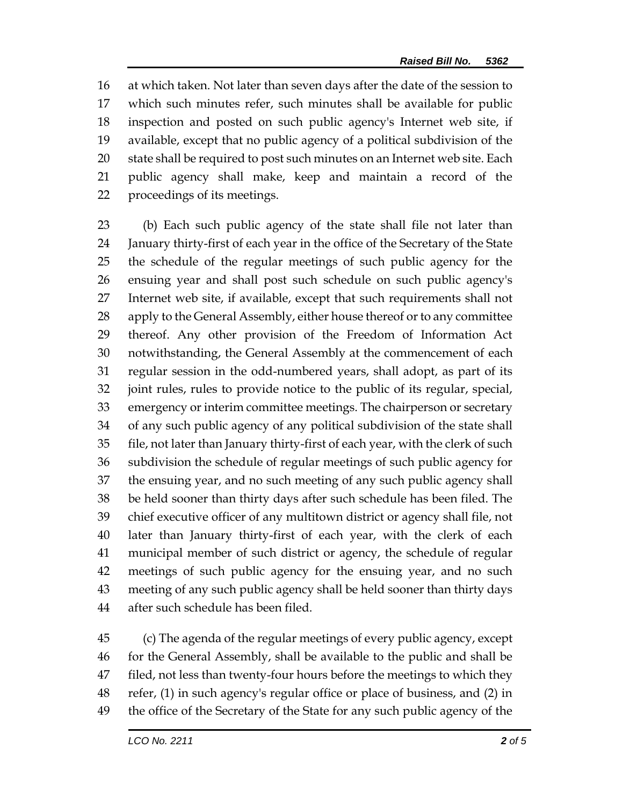at which taken. Not later than seven days after the date of the session to which such minutes refer, such minutes shall be available for public inspection and posted on such public agency's Internet web site, if available, except that no public agency of a political subdivision of the state shall be required to post such minutes on an Internet web site. Each public agency shall make, keep and maintain a record of the proceedings of its meetings.

 (b) Each such public agency of the state shall file not later than January thirty-first of each year in the office of the Secretary of the State the schedule of the regular meetings of such public agency for the ensuing year and shall post such schedule on such public agency's Internet web site, if available, except that such requirements shall not 28 apply to the General Assembly, either house thereof or to any committee thereof. Any other provision of the Freedom of Information Act notwithstanding, the General Assembly at the commencement of each regular session in the odd-numbered years, shall adopt, as part of its joint rules, rules to provide notice to the public of its regular, special, emergency or interim committee meetings. The chairperson or secretary of any such public agency of any political subdivision of the state shall file, not later than January thirty-first of each year, with the clerk of such subdivision the schedule of regular meetings of such public agency for the ensuing year, and no such meeting of any such public agency shall be held sooner than thirty days after such schedule has been filed. The chief executive officer of any multitown district or agency shall file, not later than January thirty-first of each year, with the clerk of each municipal member of such district or agency, the schedule of regular meetings of such public agency for the ensuing year, and no such meeting of any such public agency shall be held sooner than thirty days after such schedule has been filed.

 (c) The agenda of the regular meetings of every public agency, except for the General Assembly, shall be available to the public and shall be 47 filed, not less than twenty-four hours before the meetings to which they refer, (1) in such agency's regular office or place of business, and (2) in the office of the Secretary of the State for any such public agency of the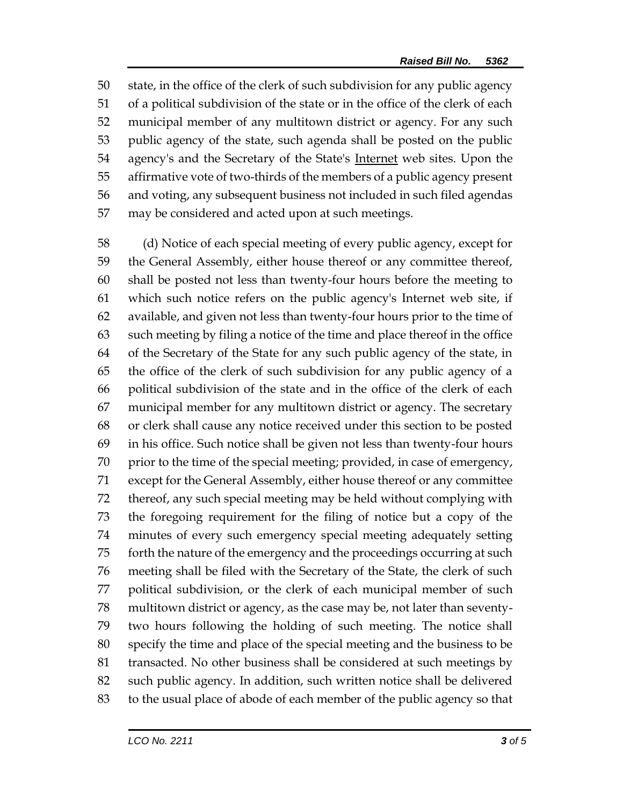state, in the office of the clerk of such subdivision for any public agency of a political subdivision of the state or in the office of the clerk of each municipal member of any multitown district or agency. For any such public agency of the state, such agenda shall be posted on the public agency's and the Secretary of the State's Internet web sites. Upon the affirmative vote of two-thirds of the members of a public agency present and voting, any subsequent business not included in such filed agendas may be considered and acted upon at such meetings.

 (d) Notice of each special meeting of every public agency, except for the General Assembly, either house thereof or any committee thereof, shall be posted not less than twenty-four hours before the meeting to which such notice refers on the public agency's Internet web site, if available, and given not less than twenty-four hours prior to the time of such meeting by filing a notice of the time and place thereof in the office of the Secretary of the State for any such public agency of the state, in the office of the clerk of such subdivision for any public agency of a political subdivision of the state and in the office of the clerk of each municipal member for any multitown district or agency. The secretary or clerk shall cause any notice received under this section to be posted in his office. Such notice shall be given not less than twenty-four hours prior to the time of the special meeting; provided, in case of emergency, except for the General Assembly, either house thereof or any committee thereof, any such special meeting may be held without complying with the foregoing requirement for the filing of notice but a copy of the minutes of every such emergency special meeting adequately setting forth the nature of the emergency and the proceedings occurring at such meeting shall be filed with the Secretary of the State, the clerk of such political subdivision, or the clerk of each municipal member of such multitown district or agency, as the case may be, not later than seventy- two hours following the holding of such meeting. The notice shall specify the time and place of the special meeting and the business to be transacted. No other business shall be considered at such meetings by such public agency. In addition, such written notice shall be delivered to the usual place of abode of each member of the public agency so that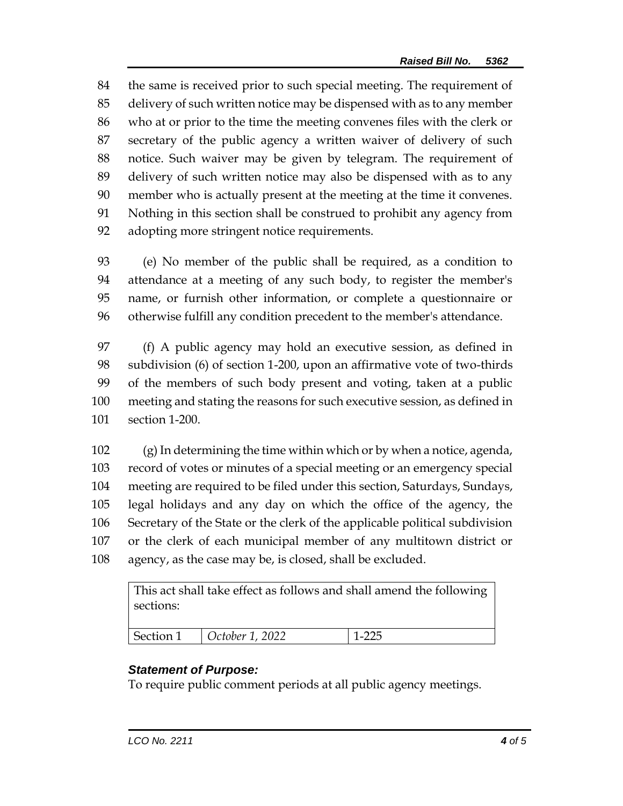the same is received prior to such special meeting. The requirement of delivery of such written notice may be dispensed with as to any member who at or prior to the time the meeting convenes files with the clerk or secretary of the public agency a written waiver of delivery of such notice. Such waiver may be given by telegram. The requirement of delivery of such written notice may also be dispensed with as to any member who is actually present at the meeting at the time it convenes. Nothing in this section shall be construed to prohibit any agency from adopting more stringent notice requirements.

 (e) No member of the public shall be required, as a condition to attendance at a meeting of any such body, to register the member's name, or furnish other information, or complete a questionnaire or otherwise fulfill any condition precedent to the member's attendance.

 (f) A public agency may hold an executive session, as defined in subdivision (6) of section 1-200, upon an affirmative vote of two-thirds of the members of such body present and voting, taken at a public meeting and stating the reasons for such executive session, as defined in section 1-200.

 (g) In determining the time within which or by when a notice, agenda, record of votes or minutes of a special meeting or an emergency special meeting are required to be filed under this section, Saturdays, Sundays, legal holidays and any day on which the office of the agency, the Secretary of the State or the clerk of the applicable political subdivision or the clerk of each municipal member of any multitown district or agency, as the case may be, is closed, shall be excluded.

This act shall take effect as follows and shall amend the following sections:

| Section 1 | $\cup$ October 1, 2022<br>$   -$ |  |
|-----------|----------------------------------|--|
|           |                                  |  |

## *Statement of Purpose:*

To require public comment periods at all public agency meetings.